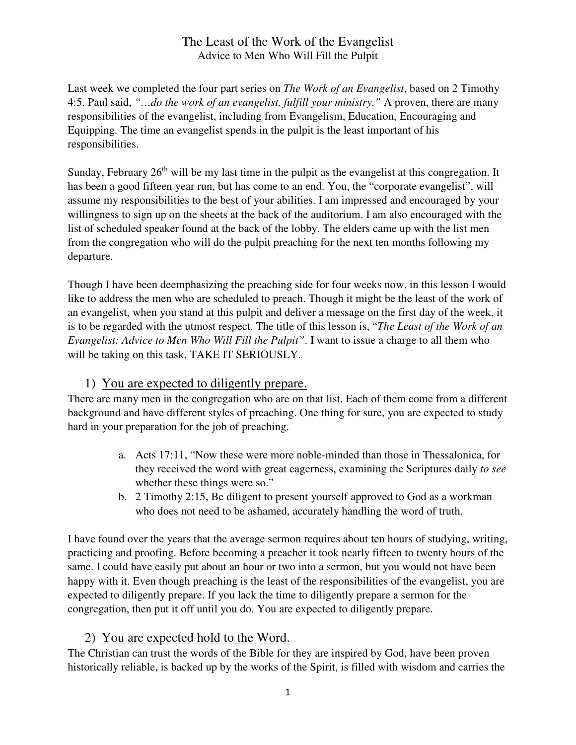Last week we completed the four part series on *The Work of an Evangelist*, based on 2 Timothy 4:5. Paul said, *"…do the work of an evangelist, fulfill your ministry."* A proven, there are many responsibilities of the evangelist, including from Evangelism, Education, Encouraging and Equipping. The time an evangelist spends in the pulpit is the least important of his responsibilities.

Sunday, February  $26<sup>th</sup>$  will be my last time in the pulpit as the evangelist at this congregation. It has been a good fifteen year run, but has come to an end. You, the "corporate evangelist", will assume my responsibilities to the best of your abilities. I am impressed and encouraged by your willingness to sign up on the sheets at the back of the auditorium. I am also encouraged with the list of scheduled speaker found at the back of the lobby. The elders came up with the list men from the congregation who will do the pulpit preaching for the next ten months following my departure.

Though I have been deemphasizing the preaching side for four weeks now, in this lesson I would like to address the men who are scheduled to preach. Though it might be the least of the work of an evangelist, when you stand at this pulpit and deliver a message on the first day of the week, it is to be regarded with the utmost respect. The title of this lesson is, "*The Least of the Work of an Evangelist: Advice to Men Who Will Fill the Pulpit"*. I want to issue a charge to all them who will be taking on this task, TAKE IT SERIOUSLY.

# 1) You are expected to diligently prepare.

There are many men in the congregation who are on that list. Each of them come from a different background and have different styles of preaching. One thing for sure, you are expected to study hard in your preparation for the job of preaching.

- a. Acts 17:11, "Now these were more noble-minded than those in Thessalonica, for they received the word with great eagerness, examining the Scriptures daily *to see* whether these things were so."
- b. 2 Timothy 2:15, Be diligent to present yourself approved to God as a workman who does not need to be ashamed, accurately handling the word of truth.

I have found over the years that the average sermon requires about ten hours of studying, writing, practicing and proofing. Before becoming a preacher it took nearly fifteen to twenty hours of the same. I could have easily put about an hour or two into a sermon, but you would not have been happy with it. Even though preaching is the least of the responsibilities of the evangelist, you are expected to diligently prepare. If you lack the time to diligently prepare a sermon for the congregation, then put it off until you do. You are expected to diligently prepare.

### 2) You are expected hold to the Word.

The Christian can trust the words of the Bible for they are inspired by God, have been proven historically reliable, is backed up by the works of the Spirit, is filled with wisdom and carries the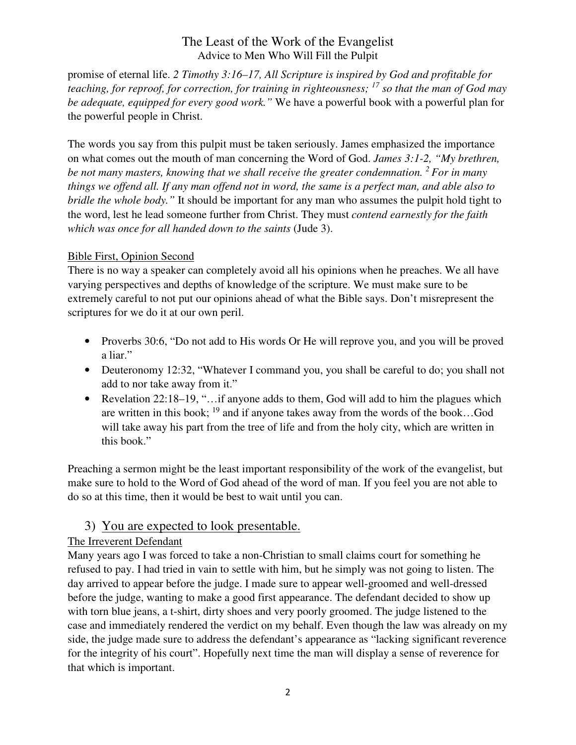promise of eternal life. *2 Timothy 3:16–17, All Scripture is inspired by God and profitable for teaching, for reproof, for correction, for training in righteousness; <sup>17</sup> so that the man of God may be adequate, equipped for every good work."* We have a powerful book with a powerful plan for the powerful people in Christ.

The words you say from this pulpit must be taken seriously. James emphasized the importance on what comes out the mouth of man concerning the Word of God. *James 3:1-2, "My brethren, be not many masters, knowing that we shall receive the greater condemnation. <sup>2</sup>For in many things we offend all. If any man offend not in word, the same is a perfect man, and able also to bridle the whole body."* It should be important for any man who assumes the pulpit hold tight to the word, lest he lead someone further from Christ. They must *contend earnestly for the faith which was once for all handed down to the saints* (Jude 3).

#### Bible First, Opinion Second

There is no way a speaker can completely avoid all his opinions when he preaches. We all have varying perspectives and depths of knowledge of the scripture. We must make sure to be extremely careful to not put our opinions ahead of what the Bible says. Don't misrepresent the scriptures for we do it at our own peril.

- Proverbs 30:6, "Do not add to His words Or He will reprove you, and you will be proved a liar."
- Deuteronomy 12:32, "Whatever I command you, you shall be careful to do; you shall not add to nor take away from it."
- Revelation 22:18–19, "... if anyone adds to them, God will add to him the plagues which are written in this book;  $^{19}$  and if anyone takes away from the words of the book...God will take away his part from the tree of life and from the holy city, which are written in this book."

Preaching a sermon might be the least important responsibility of the work of the evangelist, but make sure to hold to the Word of God ahead of the word of man. If you feel you are not able to do so at this time, then it would be best to wait until you can.

# 3) You are expected to look presentable.

### The Irreverent Defendant

Many years ago I was forced to take a non-Christian to small claims court for something he refused to pay. I had tried in vain to settle with him, but he simply was not going to listen. The day arrived to appear before the judge. I made sure to appear well-groomed and well-dressed before the judge, wanting to make a good first appearance. The defendant decided to show up with torn blue jeans, a t-shirt, dirty shoes and very poorly groomed. The judge listened to the case and immediately rendered the verdict on my behalf. Even though the law was already on my side, the judge made sure to address the defendant's appearance as "lacking significant reverence for the integrity of his court". Hopefully next time the man will display a sense of reverence for that which is important.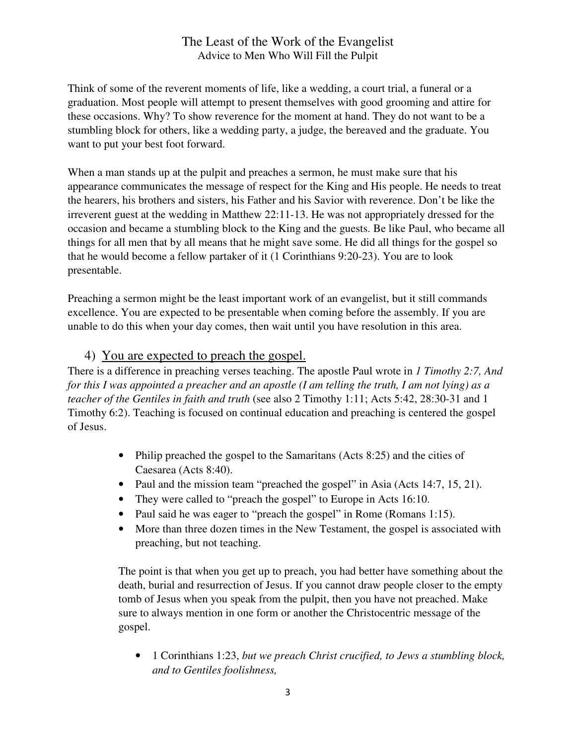Think of some of the reverent moments of life, like a wedding, a court trial, a funeral or a graduation. Most people will attempt to present themselves with good grooming and attire for these occasions. Why? To show reverence for the moment at hand. They do not want to be a stumbling block for others, like a wedding party, a judge, the bereaved and the graduate. You want to put your best foot forward.

When a man stands up at the pulpit and preaches a sermon, he must make sure that his appearance communicates the message of respect for the King and His people. He needs to treat the hearers, his brothers and sisters, his Father and his Savior with reverence. Don't be like the irreverent guest at the wedding in Matthew 22:11-13. He was not appropriately dressed for the occasion and became a stumbling block to the King and the guests. Be like Paul, who became all things for all men that by all means that he might save some. He did all things for the gospel so that he would become a fellow partaker of it (1 Corinthians 9:20-23). You are to look presentable.

Preaching a sermon might be the least important work of an evangelist, but it still commands excellence. You are expected to be presentable when coming before the assembly. If you are unable to do this when your day comes, then wait until you have resolution in this area.

### 4) You are expected to preach the gospel.

There is a difference in preaching verses teaching. The apostle Paul wrote in *1 Timothy 2:7, And for this I was appointed a preacher and an apostle (I am telling the truth, I am not lying) as a teacher of the Gentiles in faith and truth* (see also 2 Timothy 1:11; Acts 5:42, 28:30-31 and 1 Timothy 6:2). Teaching is focused on continual education and preaching is centered the gospel of Jesus.

- Philip preached the gospel to the Samaritans (Acts 8:25) and the cities of Caesarea (Acts 8:40).
- Paul and the mission team "preached the gospel" in Asia (Acts 14:7, 15, 21).
- They were called to "preach the gospel" to Europe in Acts 16:10.
- Paul said he was eager to "preach the gospel" in Rome (Romans 1:15).
- More than three dozen times in the New Testament, the gospel is associated with preaching, but not teaching.

The point is that when you get up to preach, you had better have something about the death, burial and resurrection of Jesus. If you cannot draw people closer to the empty tomb of Jesus when you speak from the pulpit, then you have not preached. Make sure to always mention in one form or another the Christocentric message of the gospel.

• 1 Corinthians 1:23, *but we preach Christ crucified, to Jews a stumbling block, and to Gentiles foolishness,*